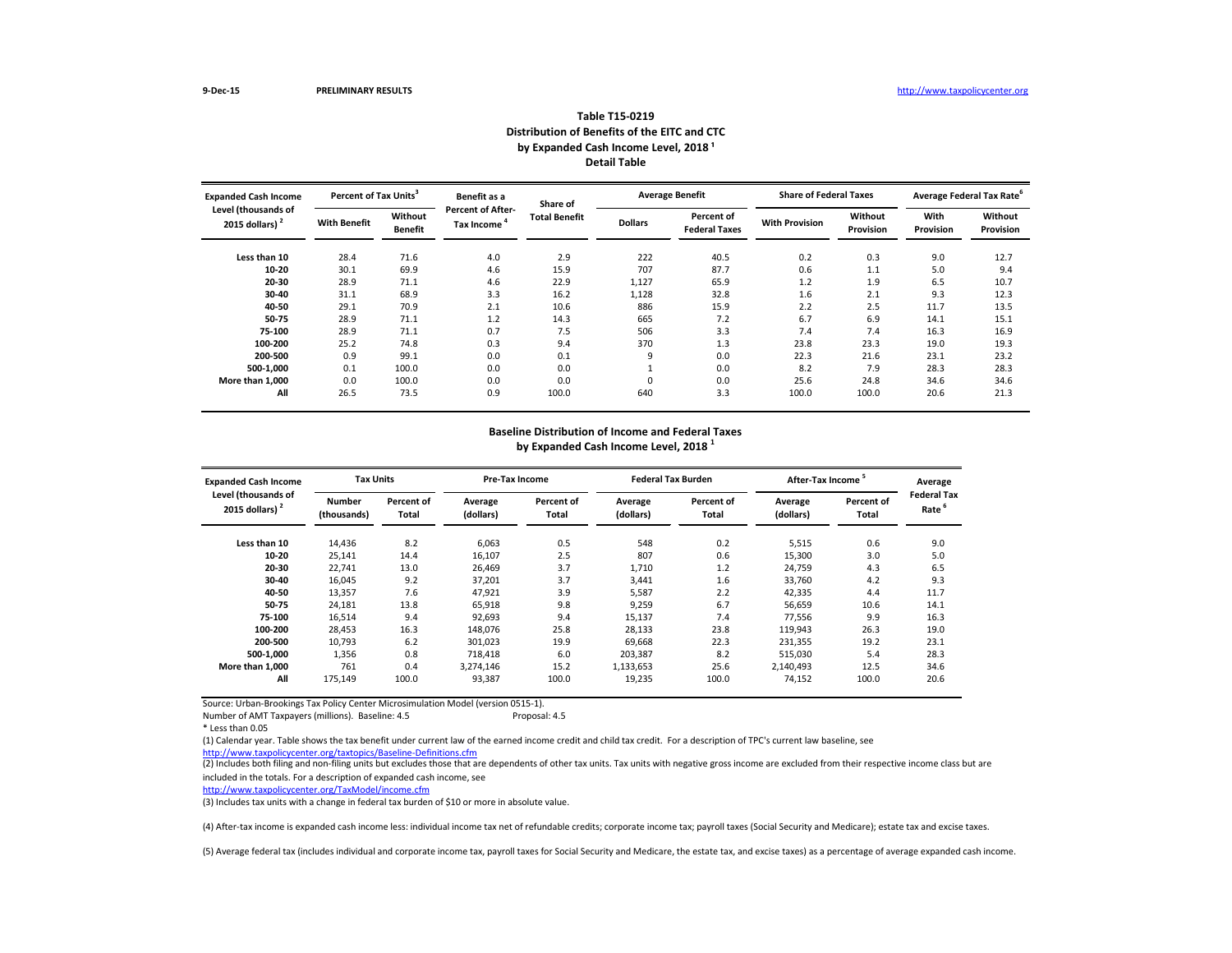| <b>Expanded Cash Income</b>              |                     | <b>Percent of Tax Units<sup>3</sup></b> |                                        | Share of             |                | <b>Average Benefit</b>             | <b>Share of Federal Taxes</b> |                      | Average Federal Tax Rate |                             |
|------------------------------------------|---------------------|-----------------------------------------|----------------------------------------|----------------------|----------------|------------------------------------|-------------------------------|----------------------|--------------------------|-----------------------------|
| Level (thousands of<br>2015 dollars) $2$ | <b>With Benefit</b> | Without<br><b>Benefit</b>               | <b>Percent of After-</b><br>Tax Income | <b>Total Benefit</b> | <b>Dollars</b> | Percent of<br><b>Federal Taxes</b> | <b>With Provision</b>         | Without<br>Provision | With<br>Provision        | Without<br><b>Provision</b> |
| Less than 10                             | 28.4                | 71.6                                    | 4.0                                    | 2.9                  | 222            | 40.5                               | 0.2                           | 0.3                  | 9.0                      | 12.7                        |
| $10 - 20$                                | 30.1                | 69.9                                    | 4.6                                    | 15.9                 | 707            | 87.7                               | 0.6                           | 1.1                  | 5.0                      | 9.4                         |
| 20-30                                    | 28.9                | 71.1                                    | 4.6                                    | 22.9                 | 1,127          | 65.9                               | 1.2                           | 1.9                  | 6.5                      | 10.7                        |
| 30-40                                    | 31.1                | 68.9                                    | 3.3                                    | 16.2                 | 1,128          | 32.8                               | 1.6                           | 2.1                  | 9.3                      | 12.3                        |
| 40-50                                    | 29.1                | 70.9                                    | 2.1                                    | 10.6                 | 886            | 15.9                               | 2.2                           | 2.5                  | 11.7                     | 13.5                        |
| 50-75                                    | 28.9                | 71.1                                    | 1.2                                    | 14.3                 | 665            | 7.2                                | 6.7                           | 6.9                  | 14.1                     | 15.1                        |
| 75-100                                   | 28.9                | 71.1                                    | 0.7                                    | 7.5                  | 506            | 3.3                                | 7.4                           | 7.4                  | 16.3                     | 16.9                        |
| 100-200                                  | 25.2                | 74.8                                    | 0.3                                    | 9.4                  | 370            | 1.3                                | 23.8                          | 23.3                 | 19.0                     | 19.3                        |
| 200-500                                  | 0.9                 | 99.1                                    | 0.0                                    | 0.1                  | 9              | 0.0                                | 22.3                          | 21.6                 | 23.1                     | 23.2                        |
| 500-1,000                                | 0.1                 | 100.0                                   | 0.0                                    | 0.0                  |                | 0.0                                | 8.2                           | 7.9                  | 28.3                     | 28.3                        |
| More than 1,000                          | 0.0                 | 100.0                                   | 0.0                                    | 0.0                  | $\Omega$       | 0.0                                | 25.6                          | 24.8                 | 34.6                     | 34.6                        |
| All                                      | 26.5                | 73.5                                    | 0.9                                    | 100.0                | 640            | 3.3                                | 100.0                         | 100.0                | 20.6                     | 21.3                        |

Number of AMT Taxpayers (millions). Baseline: 4.5 Proposal: 4.5

(2) Includes both filing and non-filing units but excludes those that are dependents of other tax units. Tax units with negative gross income are excluded from their respective income class but are included in the totals. For a description of expanded cash income, see

| <b>Expanded Cash Income</b>              | <b>Tax Units</b>             |                     | <b>Pre-Tax Income</b> |                            |                      | <b>Federal Tax Burden</b>  | After-Tax Income     |                     | Average                                |
|------------------------------------------|------------------------------|---------------------|-----------------------|----------------------------|----------------------|----------------------------|----------------------|---------------------|----------------------------------------|
| Level (thousands of<br>2015 dollars) $2$ | <b>Number</b><br>(thousands) | Percent of<br>Total | Average<br>(dollars)  | <b>Percent of</b><br>Total | Average<br>(dollars) | Percent of<br><b>Total</b> | Average<br>(dollars) | Percent of<br>Total | <b>Federal Ta</b><br>Rate <sup>6</sup> |
| Less than 10                             | 14,436                       | 8.2                 | 6,063                 | 0.5                        | 548                  | 0.2                        | 5,515                | 0.6                 | 9.0                                    |
| $10 - 20$                                | 25,141                       | 14.4                | 16,107                | 2.5                        | 807                  | 0.6                        | 15,300               | 3.0                 | 5.0                                    |
| 20-30                                    | 22,741                       | 13.0                | 26,469                | 3.7                        | 1,710                | 1.2                        | 24,759               | 4.3                 | 6.5                                    |
| 30-40                                    | 16,045                       | 9.2                 | 37,201                | 3.7                        | 3,441                | 1.6                        | 33,760               | 4.2                 | 9.3                                    |
| 40-50                                    | 13,357                       | 7.6                 | 47,921                | 3.9                        | 5,587                | 2.2                        | 42,335               | 4.4                 | 11.7                                   |
| 50-75                                    | 24,181                       | 13.8                | 65,918                | 9.8                        | 9,259                | 6.7                        | 56,659               | 10.6                | 14.1                                   |
| 75-100                                   | 16,514                       | 9.4                 | 92,693                | 9.4                        | 15,137               | 7.4                        | 77,556               | 9.9                 | 16.3                                   |
| 100-200                                  | 28,453                       | 16.3                | 148,076               | 25.8                       | 28,133               | 23.8                       | 119,943              | 26.3                | 19.0                                   |
| 200-500                                  | 10,793                       | 6.2                 | 301,023               | 19.9                       | 69,668               | 22.3                       | 231,355              | 19.2                | 23.1                                   |
| 500-1,000                                | 1,356                        | 0.8                 | 718,418               | 6.0                        | 203,387              | 8.2                        | 515,030              | 5.4                 | 28.3                                   |
| More than 1,000                          | 761                          | 0.4                 | 3,274,146             | 15.2                       | 1,133,653            | 25.6                       | 2,140,493            | 12.5                | 34.6                                   |
| All                                      | 175,149                      | 100.0               | 93,387                | 100.0                      | 19,235               | 100.0                      | 74,152               | 100.0               | 20.6                                   |

| <b>Average Federal Tax Rate</b> |                  |
|---------------------------------|------------------|
| With                            | Without          |
| Provision                       | <b>Provision</b> |
|                                 |                  |
| 9.0                             | 12.7             |
| 5.0                             | 9.4              |
| 6.5                             | 10.7             |
| 9.3                             | 12.3             |
| 11.7                            | 13.5             |
| 14.1                            | 15.1             |
| 16.3                            | 16.9             |
| 19.0                            | 19.3             |
| 23.1                            | 23.2             |
| 28.3                            | 28.3             |
| 34.6                            | 34.6             |
| 20.6                            | 21.3             |
|                                 |                  |

### **Baseline Distribution of Income and Federal Taxes**

**by Expanded Cash Income Level, 2018 <sup>1</sup>**

<http://www.taxpolicycenter.org/taxtopics/Baseline-Definitions.cfm> (1) Calendar year. Table shows the tax benefit under current law of the earned income credit and child tax credit. For a description of TPC's current law baseline, see

| Average<br><b>Federal Tax</b><br>6<br>Rate                                               |  |  |  |  |  |  |  |  |
|------------------------------------------------------------------------------------------|--|--|--|--|--|--|--|--|
| 9.0<br>5.0<br>6.5<br>9.3<br>11.7<br>14.1<br>16.3<br>19.0<br>23.1<br>28.3<br>34.6<br>20.6 |  |  |  |  |  |  |  |  |
|                                                                                          |  |  |  |  |  |  |  |  |

(5) Average federal tax (includes individual and corporate income tax, payroll taxes for Social Security and Medicare, the estate tax, and excise taxes) as a percentage of average expanded cash income.

\* Less than 0.05

<http://www.taxpolicycenter.org/TaxModel/income.cfm>

(3) Includes tax units with a change in federal tax burden of \$10 or more in absolute value.

(4) After-tax income is expanded cash income less: individual income tax net of refundable credits; corporate income tax; payroll taxes (Social Security and Medicare); estate tax and excise taxes.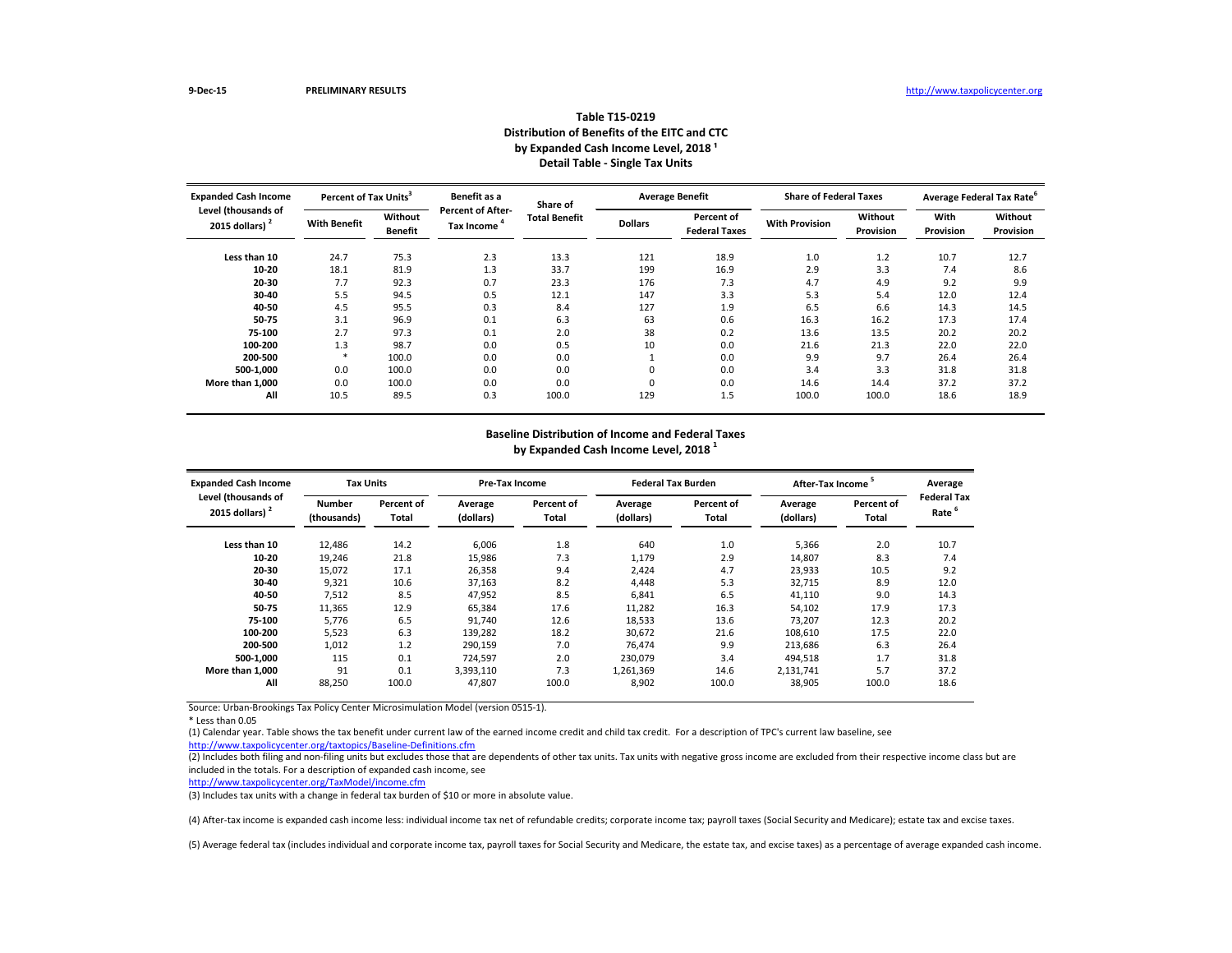| <b>Expanded Cash Income</b>              | Percent of Tax Units <sup>3</sup> |                           | Benefit as a                           | Share of             |                | <b>Average Benefit</b>             | <b>Share of Federal Taxes</b> |                      | Average Federal Tax Rate <sup>o</sup> |                      |
|------------------------------------------|-----------------------------------|---------------------------|----------------------------------------|----------------------|----------------|------------------------------------|-------------------------------|----------------------|---------------------------------------|----------------------|
| Level (thousands of<br>2015 dollars) $2$ | <b>With Benefit</b>               | Without<br><b>Benefit</b> | <b>Percent of After-</b><br>Tax Income | <b>Total Benefit</b> | <b>Dollars</b> | Percent of<br><b>Federal Taxes</b> | <b>With Provision</b>         | Without<br>Provision | <b>With</b><br>Provision              | Without<br>Provision |
| Less than 10                             | 24.7                              | 75.3                      | 2.3                                    | 13.3                 | 121            | 18.9                               | 1.0                           | 1.2                  | 10.7                                  | 12.7                 |
| $10 - 20$                                | 18.1                              | 81.9                      | 1.3                                    | 33.7                 | 199            | 16.9                               | 2.9                           | 3.3                  | 7.4                                   | 8.6                  |
| 20-30                                    | 7.7                               | 92.3                      | 0.7                                    | 23.3                 | 176            | 7.3                                | 4.7                           | 4.9                  | 9.2                                   | 9.9                  |
| 30-40                                    | 5.5                               | 94.5                      | 0.5                                    | 12.1                 | 147            | 3.3                                | 5.3                           | 5.4                  | 12.0                                  | 12.4                 |
| 40-50                                    | 4.5                               | 95.5                      | 0.3                                    | 8.4                  | 127            | 1.9                                | 6.5                           | 6.6                  | 14.3                                  | 14.5                 |
| 50-75                                    | 3.1                               | 96.9                      | 0.1                                    | 6.3                  | 63             | 0.6                                | 16.3                          | 16.2                 | 17.3                                  | 17.4                 |
| 75-100                                   | 2.7                               | 97.3                      | 0.1                                    | 2.0                  | 38             | 0.2                                | 13.6                          | 13.5                 | 20.2                                  | 20.2                 |
| 100-200                                  | 1.3                               | 98.7                      | 0.0                                    | 0.5                  | 10             | 0.0                                | 21.6                          | 21.3                 | 22.0                                  | 22.0                 |
| 200-500                                  |                                   | 100.0                     | 0.0                                    | 0.0                  |                | 0.0                                | 9.9                           | 9.7                  | 26.4                                  | 26.4                 |
| 500-1,000                                | 0.0                               | 100.0                     | 0.0                                    | 0.0                  | 0              | 0.0                                | 3.4                           | 3.3                  | 31.8                                  | 31.8                 |
| More than 1,000                          | 0.0                               | 100.0                     | 0.0                                    | 0.0                  | 0              | 0.0                                | 14.6                          | 14.4                 | 37.2                                  | 37.2                 |
| All                                      | 10.5                              | 89.5                      | 0.3                                    | 100.0                | 129            | 1.5                                | 100.0                         | 100.0                | 18.6                                  | 18.9                 |

(2) Includes both filing and non-filing units but excludes those that are dependents of other tax units. Tax units with negative gross income are excluded from their respective income class but are included in the totals. For a description of expanded cash income, see

\* Less than 0.05

| <b>Expanded Cash Income</b>              | <b>Tax Units</b>             |                     | <b>Pre-Tax Income</b> |                     |                      | <b>Federal Tax Burden</b> |                      | <b>After-Tax Income</b>    |                            |  |
|------------------------------------------|------------------------------|---------------------|-----------------------|---------------------|----------------------|---------------------------|----------------------|----------------------------|----------------------------|--|
| Level (thousands of<br>2015 dollars) $2$ | <b>Number</b><br>(thousands) | Percent of<br>Total | Average<br>(dollars)  | Percent of<br>Total | Average<br>(dollars) | Percent of<br>Total       | Average<br>(dollars) | <b>Percent of</b><br>Total | <b>Federal Tax</b><br>Rate |  |
| Less than 10                             | 12,486                       | 14.2                | 6,006                 | 1.8                 | 640                  | 1.0                       | 5,366                | 2.0                        | 10.7                       |  |
| $10 - 20$                                | 19,246                       | 21.8                | 15,986                | 7.3                 | 1,179                | 2.9                       | 14,807               | 8.3                        | 7.4                        |  |
| $20 - 30$                                | 15,072                       | 17.1                | 26,358                | 9.4                 | 2,424                | 4.7                       | 23,933               | 10.5                       | 9.2                        |  |
| 30-40                                    | 9,321                        | 10.6                | 37,163                | 8.2                 | 4,448                | 5.3                       | 32,715               | 8.9                        | 12.0                       |  |
| 40-50                                    | 7,512                        | 8.5                 | 47,952                | 8.5                 | 6,841                | 6.5                       | 41,110               | 9.0                        | 14.3                       |  |
| 50-75                                    | 11,365                       | 12.9                | 65,384                | 17.6                | 11,282               | 16.3                      | 54,102               | 17.9                       | 17.3                       |  |
| 75-100                                   | 5,776                        | 6.5                 | 91.740                | 12.6                | 18,533               | 13.6                      | 73,207               | 12.3                       | 20.2                       |  |
| 100-200                                  | 5,523                        | 6.3                 | 139,282               | 18.2                | 30,672               | 21.6                      | 108,610              | 17.5                       | 22.0                       |  |
| 200-500                                  | 1,012                        | 1.2                 | 290,159               | 7.0                 | 76,474               | 9.9                       | 213,686              | 6.3                        | 26.4                       |  |
| 500-1,000                                | 115                          | 0.1                 | 724,597               | 2.0                 | 230,079              | 3.4                       | 494,518              | 1.7                        | 31.8                       |  |
| More than 1,000                          | 91                           | 0.1                 | 3,393,110             | 7.3                 | 1,261,369            | 14.6                      | 2,131,741            | 5.7                        | 37.2                       |  |
| All                                      | 88,250                       | 100.0               | 47,807                | 100.0               | 8,902                | 100.0                     | 38,905               | 100.0                      | 18.6                       |  |

## **Table T15-0219 Distribution of Benefits of the EITC and CTC** by Expanded Cash Income Level, 2018<sup>1</sup> **Detail Table - Single Tax Units**

<http://www.taxpolicycenter.org/taxtopics/Baseline-Definitions.cfm> (1) Calendar year. Table shows the tax benefit under current law of the earned income credit and child tax credit. For a description of TPC's current law baseline, see

# **Baseline Distribution of Income and Federal Taxes**

**by Expanded Cash Income Level, 2018 1**

<http://www.taxpolicycenter.org/TaxModel/income.cfm>

(3) Includes tax units with a change in federal tax burden of \$10 or more in absolute value.

(4) After-tax income is expanded cash income less: individual income tax net of refundable credits; corporate income tax; payroll taxes (Social Security and Medicare); estate tax and excise taxes.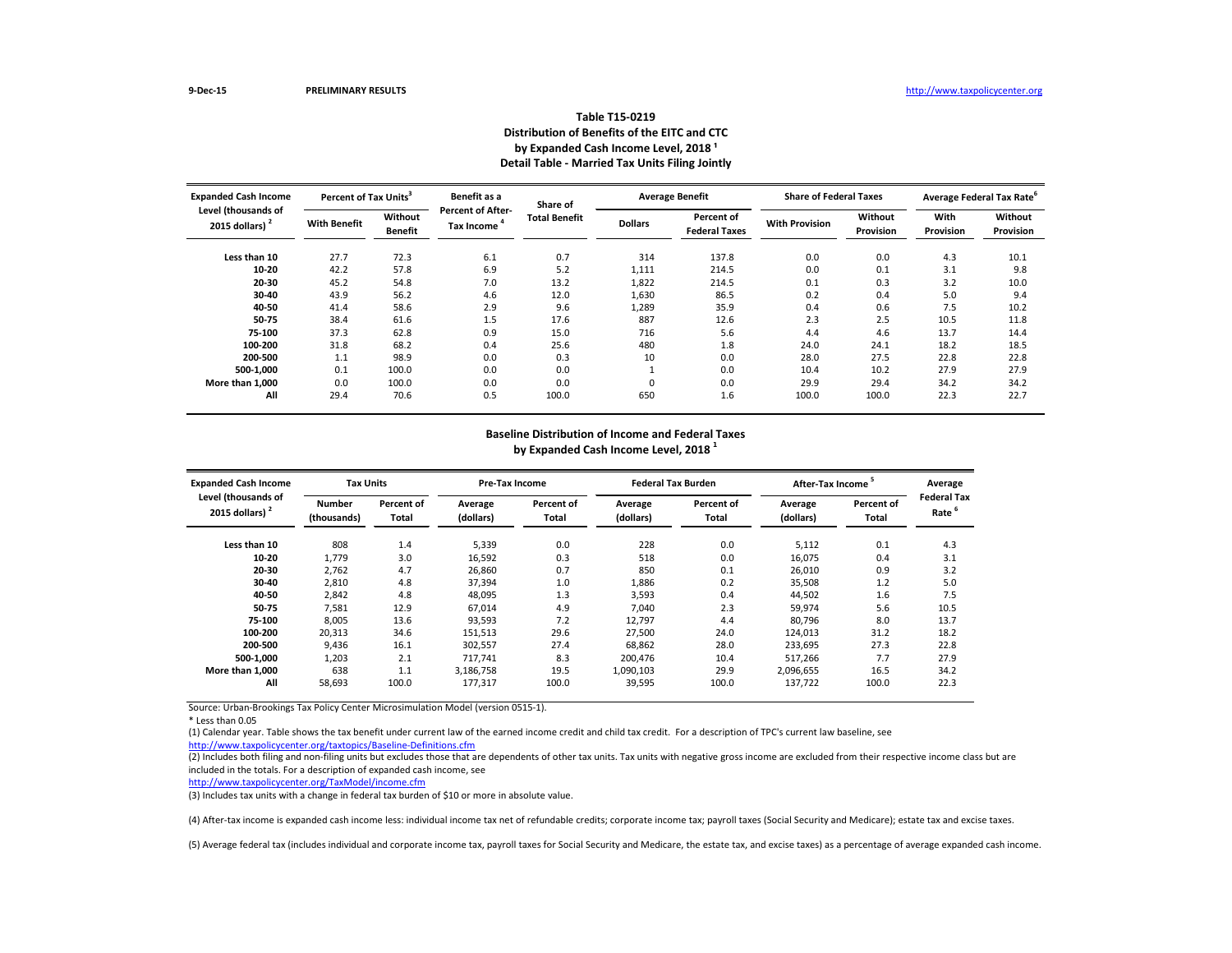| <b>Expanded Cash Income</b><br>Level (thousands of | <b>Percent of Tax Units<sup>3</sup></b> |                           | Benefit as a                           | Share of             |                | <b>Average Benefit</b>             | <b>Share of Federal Taxes</b> |                      | Average Federal Tax Rate <sup>b</sup> |                             |
|----------------------------------------------------|-----------------------------------------|---------------------------|----------------------------------------|----------------------|----------------|------------------------------------|-------------------------------|----------------------|---------------------------------------|-----------------------------|
| 2015 dollars) $2$                                  | <b>With Benefit</b>                     | Without<br><b>Benefit</b> | <b>Percent of After-</b><br>Tax Income | <b>Total Benefit</b> | <b>Dollars</b> | Percent of<br><b>Federal Taxes</b> | <b>With Provision</b>         | Without<br>Provision | With<br>Provision                     | Without<br><b>Provision</b> |
| Less than 10                                       | 27.7                                    | 72.3                      | 6.1                                    | 0.7                  | 314            | 137.8                              | 0.0                           | 0.0                  | 4.3                                   | 10.1                        |
| $10 - 20$                                          | 42.2                                    | 57.8                      | 6.9                                    | 5.2                  | 1,111          | 214.5                              | 0.0                           | 0.1                  | 3.1                                   | 9.8                         |
| 20-30                                              | 45.2                                    | 54.8                      | 7.0                                    | 13.2                 | 1,822          | 214.5                              | 0.1                           | 0.3                  | 3.2                                   | 10.0                        |
| 30-40                                              | 43.9                                    | 56.2                      | 4.6                                    | 12.0                 | 1,630          | 86.5                               | 0.2                           | 0.4                  | 5.0                                   | 9.4                         |
| 40-50                                              | 41.4                                    | 58.6                      | 2.9                                    | 9.6                  | 1,289          | 35.9                               | 0.4                           | 0.6                  | 7.5                                   | 10.2                        |
| 50-75                                              | 38.4                                    | 61.6                      | 1.5                                    | 17.6                 | 887            | 12.6                               | 2.3                           | 2.5                  | 10.5                                  | 11.8                        |
| 75-100                                             | 37.3                                    | 62.8                      | 0.9                                    | 15.0                 | 716            | 5.6                                | 4.4                           | 4.6                  | 13.7                                  | 14.4                        |
| 100-200                                            | 31.8                                    | 68.2                      | 0.4                                    | 25.6                 | 480            | 1.8                                | 24.0                          | 24.1                 | 18.2                                  | 18.5                        |
| 200-500                                            | 1.1                                     | 98.9                      | 0.0                                    | 0.3                  | 10             | 0.0                                | 28.0                          | 27.5                 | 22.8                                  | 22.8                        |
| 500-1,000                                          | 0.1                                     | 100.0                     | 0.0                                    | 0.0                  |                | 0.0                                | 10.4                          | 10.2                 | 27.9                                  | 27.9                        |
| More than 1,000                                    | 0.0                                     | 100.0                     | 0.0                                    | 0.0                  | 0              | 0.0                                | 29.9                          | 29.4                 | 34.2                                  | 34.2                        |
| All                                                | 29.4                                    | 70.6                      | 0.5                                    | 100.0                | 650            | 1.6                                | 100.0                         | 100.0                | 22.3                                  | 22.7                        |

(2) Includes both filing and non-filing units but excludes those that are dependents of other tax units. Tax units with negative gross income are excluded from their respective income class but are included in the totals. For a description of expanded cash income, see

\* Less than 0.05

| <b>Expanded Cash Income</b>              | <b>Tax Units</b>             |                     | <b>Pre-Tax Income</b> |                     |                      | <b>Federal Tax Burden</b> | After-Tax Income     |                     | Average                    |
|------------------------------------------|------------------------------|---------------------|-----------------------|---------------------|----------------------|---------------------------|----------------------|---------------------|----------------------------|
| Level (thousands of<br>2015 dollars) $2$ | <b>Number</b><br>(thousands) | Percent of<br>Total | Average<br>(dollars)  | Percent of<br>Total | Average<br>(dollars) | Percent of<br>Total       | Average<br>(dollars) | Percent of<br>Total | <b>Federal Tax</b><br>Rate |
| Less than 10                             | 808                          | 1.4                 | 5,339                 | 0.0                 | 228                  | 0.0                       | 5,112                | 0.1                 | 4.3                        |
| $10 - 20$                                | 1,779                        | 3.0                 | 16,592                | 0.3                 | 518                  | 0.0                       | 16,075               | 0.4                 | 3.1                        |
| $20 - 30$                                | 2,762                        | 4.7                 | 26,860                | 0.7                 | 850                  | 0.1                       | 26,010               | 0.9                 | 3.2                        |
| 30-40                                    | 2,810                        | 4.8                 | 37,394                | 1.0                 | 1,886                | 0.2                       | 35,508               | 1.2                 | 5.0                        |
| 40-50                                    | 2,842                        | 4.8                 | 48,095                | 1.3                 | 3,593                | 0.4                       | 44,502               | 1.6                 | 7.5                        |
| 50-75                                    | 7,581                        | 12.9                | 67,014                | 4.9                 | 7,040                | 2.3                       | 59,974               | 5.6                 | 10.5                       |
| 75-100                                   | 8,005                        | 13.6                | 93,593                | 7.2                 | 12,797               | 4.4                       | 80,796               | 8.0                 | 13.7                       |
| 100-200                                  | 20,313                       | 34.6                | 151,513               | 29.6                | 27,500               | 24.0                      | 124,013              | 31.2                | 18.2                       |
| 200-500                                  | 9,436                        | 16.1                | 302,557               | 27.4                | 68,862               | 28.0                      | 233,695              | 27.3                | 22.8                       |
| 500-1,000                                | 1,203                        | 2.1                 | 717,741               | 8.3                 | 200,476              | 10.4                      | 517,266              | 7.7                 | 27.9                       |
| More than 1.000                          | 638                          | 1.1                 | 3,186,758             | 19.5                | 1,090,103            | 29.9                      | 2,096,655            | 16.5                | 34.2                       |
| All                                      | 58,693                       | 100.0               | 177,317               | 100.0               | 39,595               | 100.0                     | 137,722              | 100.0               | 22.3                       |

## **Table T15-0219 Distribution of Benefits of the EITC and CTC** by Expanded Cash Income Level, 2018<sup>1</sup> **Detail Table - Married Tax Units Filing Jointly**

<http://www.taxpolicycenter.org/taxtopics/Baseline-Definitions.cfm> (1) Calendar year. Table shows the tax benefit under current law of the earned income credit and child tax credit. For a description of TPC's current law baseline, see

# **Baseline Distribution of Income and Federal Taxes**

**by Expanded Cash Income Level, 2018 1**

<http://www.taxpolicycenter.org/TaxModel/income.cfm>

(3) Includes tax units with a change in federal tax burden of \$10 or more in absolute value.

(4) After-tax income is expanded cash income less: individual income tax net of refundable credits; corporate income tax; payroll taxes (Social Security and Medicare); estate tax and excise taxes.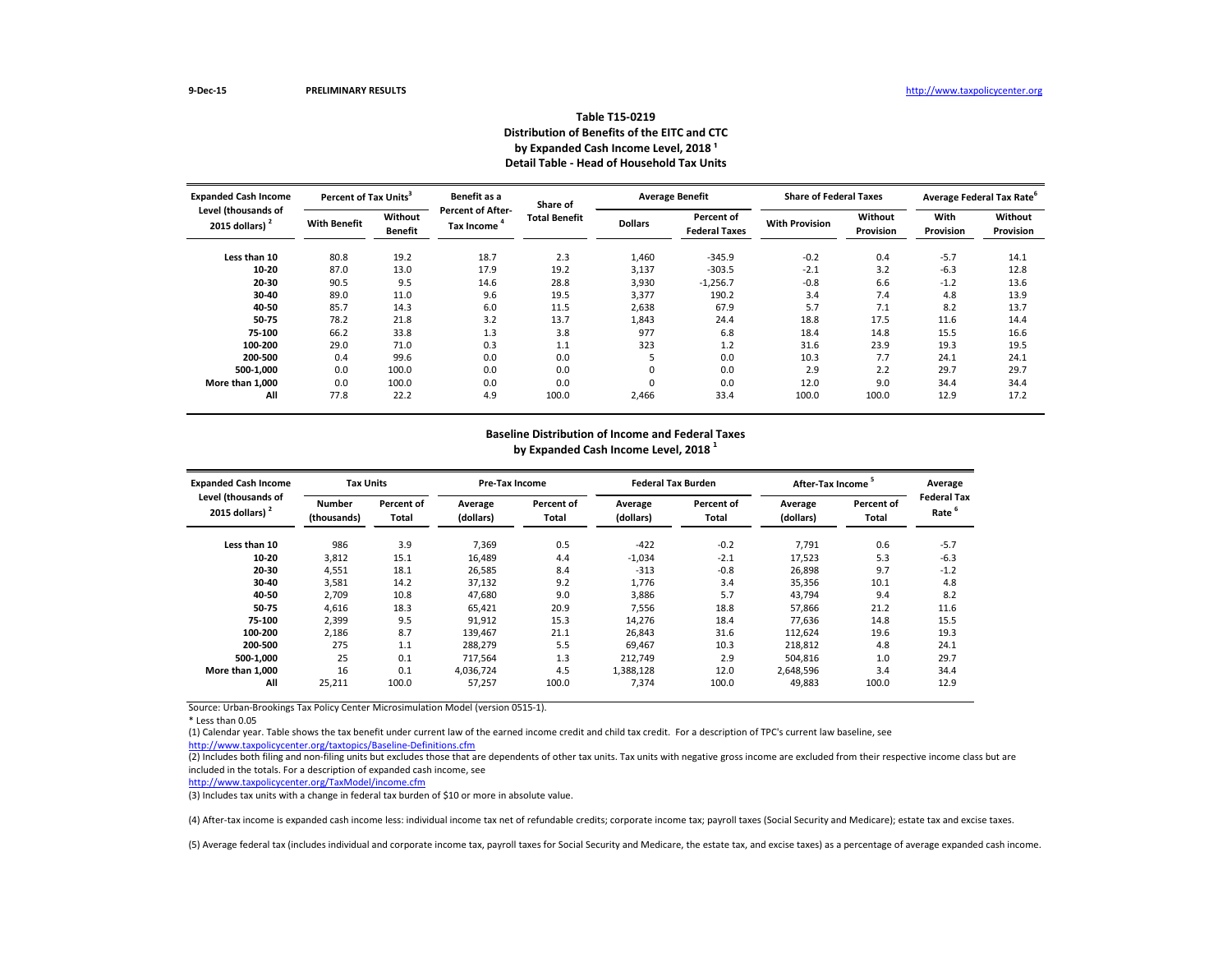| <b>Expanded Cash Income</b>              | Percent of Tax Units <sup>3</sup> |                           | Benefit as a                           | Share of             |                | <b>Average Benefit</b>             | <b>Share of Federal Taxes</b> |                      | Average Federal Tax Rate <sup>o</sup> |                      |
|------------------------------------------|-----------------------------------|---------------------------|----------------------------------------|----------------------|----------------|------------------------------------|-------------------------------|----------------------|---------------------------------------|----------------------|
| Level (thousands of<br>2015 dollars) $2$ | <b>With Benefit</b>               | Without<br><b>Benefit</b> | <b>Percent of After-</b><br>Tax Income | <b>Total Benefit</b> | <b>Dollars</b> | Percent of<br><b>Federal Taxes</b> | <b>With Provision</b>         | Without<br>Provision | <b>With</b><br>Provision              | Without<br>Provision |
| Less than 10                             | 80.8                              | 19.2                      | 18.7                                   | 2.3                  | 1,460          | $-345.9$                           | $-0.2$                        | 0.4                  | $-5.7$                                | 14.1                 |
| 10-20                                    | 87.0                              | 13.0                      | 17.9                                   | 19.2                 | 3,137          | $-303.5$                           | $-2.1$                        | 3.2                  | $-6.3$                                | 12.8                 |
| 20-30                                    | 90.5                              | 9.5                       | 14.6                                   | 28.8                 | 3,930          | $-1,256.7$                         | $-0.8$                        | 6.6                  | $-1.2$                                | 13.6                 |
| 30-40                                    | 89.0                              | 11.0                      | 9.6                                    | 19.5                 | 3,377          | 190.2                              | 3.4                           | 7.4                  | 4.8                                   | 13.9                 |
| 40-50                                    | 85.7                              | 14.3                      | 6.0                                    | 11.5                 | 2,638          | 67.9                               | 5.7                           | 7.1                  | 8.2                                   | 13.7                 |
| 50-75                                    | 78.2                              | 21.8                      | 3.2                                    | 13.7                 | 1,843          | 24.4                               | 18.8                          | 17.5                 | 11.6                                  | 14.4                 |
| 75-100                                   | 66.2                              | 33.8                      | 1.3                                    | 3.8                  | 977            | 6.8                                | 18.4                          | 14.8                 | 15.5                                  | 16.6                 |
| 100-200                                  | 29.0                              | 71.0                      | 0.3                                    | 1.1                  | 323            | 1.2                                | 31.6                          | 23.9                 | 19.3                                  | 19.5                 |
| 200-500                                  | 0.4                               | 99.6                      | 0.0                                    | 0.0                  | כ              | 0.0                                | 10.3                          | 7.7                  | 24.1                                  | 24.1                 |
| 500-1,000                                | 0.0                               | 100.0                     | 0.0                                    | 0.0                  | 0              | 0.0                                | 2.9                           | 2.2                  | 29.7                                  | 29.7                 |
| More than 1,000                          | 0.0                               | 100.0                     | 0.0                                    | 0.0                  | 0              | 0.0                                | 12.0                          | 9.0                  | 34.4                                  | 34.4                 |
| All                                      | 77.8                              | 22.2                      | 4.9                                    | 100.0                | 2,466          | 33.4                               | 100.0                         | 100.0                | 12.9                                  | 17.2                 |

(2) Includes both filing and non-filing units but excludes those that are dependents of other tax units. Tax units with negative gross income are excluded from their respective income class but are included in the totals. For a description of expanded cash income, see

Source: Urban-Brookings Tax Policy Center Microsimulation Model (version 0515-1).

\* Less than 0.05

| <b>Expanded Cash Income</b>              | <b>Tax Units</b>             |                            | <b>Pre-Tax Income</b> |                            |                      | <b>Federal Tax Burden</b>  |                      | After-Tax Income           |                            |  |
|------------------------------------------|------------------------------|----------------------------|-----------------------|----------------------------|----------------------|----------------------------|----------------------|----------------------------|----------------------------|--|
| Level (thousands of<br>2015 dollars) $2$ | <b>Number</b><br>(thousands) | Percent of<br><b>Total</b> | Average<br>(dollars)  | Percent of<br><b>Total</b> | Average<br>(dollars) | Percent of<br><b>Total</b> | Average<br>(dollars) | <b>Percent of</b><br>Total | <b>Federal Tax</b><br>Rate |  |
| Less than 10                             | 986                          | 3.9                        | 7,369                 | 0.5                        | $-422$               | $-0.2$                     | 7,791                | 0.6                        | $-5.7$                     |  |
| $10 - 20$                                | 3,812                        | 15.1                       | 16,489                | 4.4                        | $-1,034$             | $-2.1$                     | 17,523               | 5.3                        | $-6.3$                     |  |
| 20-30                                    | 4,551                        | 18.1                       | 26,585                | 8.4                        | $-313$               | $-0.8$                     | 26,898               | 9.7                        | $-1.2$                     |  |
| 30-40                                    | 3,581                        | 14.2                       | 37,132                | 9.2                        | 1,776                | 3.4                        | 35,356               | 10.1                       | 4.8                        |  |
| 40-50                                    | 2,709                        | 10.8                       | 47,680                | 9.0                        | 3,886                | 5.7                        | 43,794               | 9.4                        | 8.2                        |  |
| 50-75                                    | 4,616                        | 18.3                       | 65,421                | 20.9                       | 7,556                | 18.8                       | 57,866               | 21.2                       | 11.6                       |  |
| 75-100                                   | 2,399                        | 9.5                        | 91,912                | 15.3                       | 14,276               | 18.4                       | 77,636               | 14.8                       | 15.5                       |  |
| 100-200                                  | 2,186                        | 8.7                        | 139,467               | 21.1                       | 26,843               | 31.6                       | 112,624              | 19.6                       | 19.3                       |  |
| 200-500                                  | 275                          | 1.1                        | 288,279               | 5.5                        | 69,467               | 10.3                       | 218,812              | 4.8                        | 24.1                       |  |
| 500-1,000                                | 25                           | 0.1                        | 717,564               | 1.3                        | 212,749              | 2.9                        | 504,816              | 1.0                        | 29.7                       |  |
| More than 1,000                          | 16                           | 0.1                        | 4,036,724             | 4.5                        | 1,388,128            | 12.0                       | 2,648,596            | 3.4                        | 34.4                       |  |
| All                                      | 25,211                       | 100.0                      | 57,257                | 100.0                      | 7,374                | 100.0                      | 49,883               | 100.0                      | 12.9                       |  |

### **Table T15-0219 Distribution of Benefits of the EITC and CTC** by Expanded Cash Income Level, 2018<sup>1</sup> **Detail Table - Head of Household Tax Units**

<http://www.taxpolicycenter.org/taxtopics/Baseline-Definitions.cfm> (1) Calendar year. Table shows the tax benefit under current law of the earned income credit and child tax credit. For a description of TPC's current law baseline, see

# **Baseline Distribution of Income and Federal Taxes**

**by Expanded Cash Income Level, 2018 1**

<http://www.taxpolicycenter.org/TaxModel/income.cfm>

(3) Includes tax units with a change in federal tax burden of \$10 or more in absolute value.

(4) After-tax income is expanded cash income less: individual income tax net of refundable credits; corporate income tax; payroll taxes (Social Security and Medicare); estate tax and excise taxes.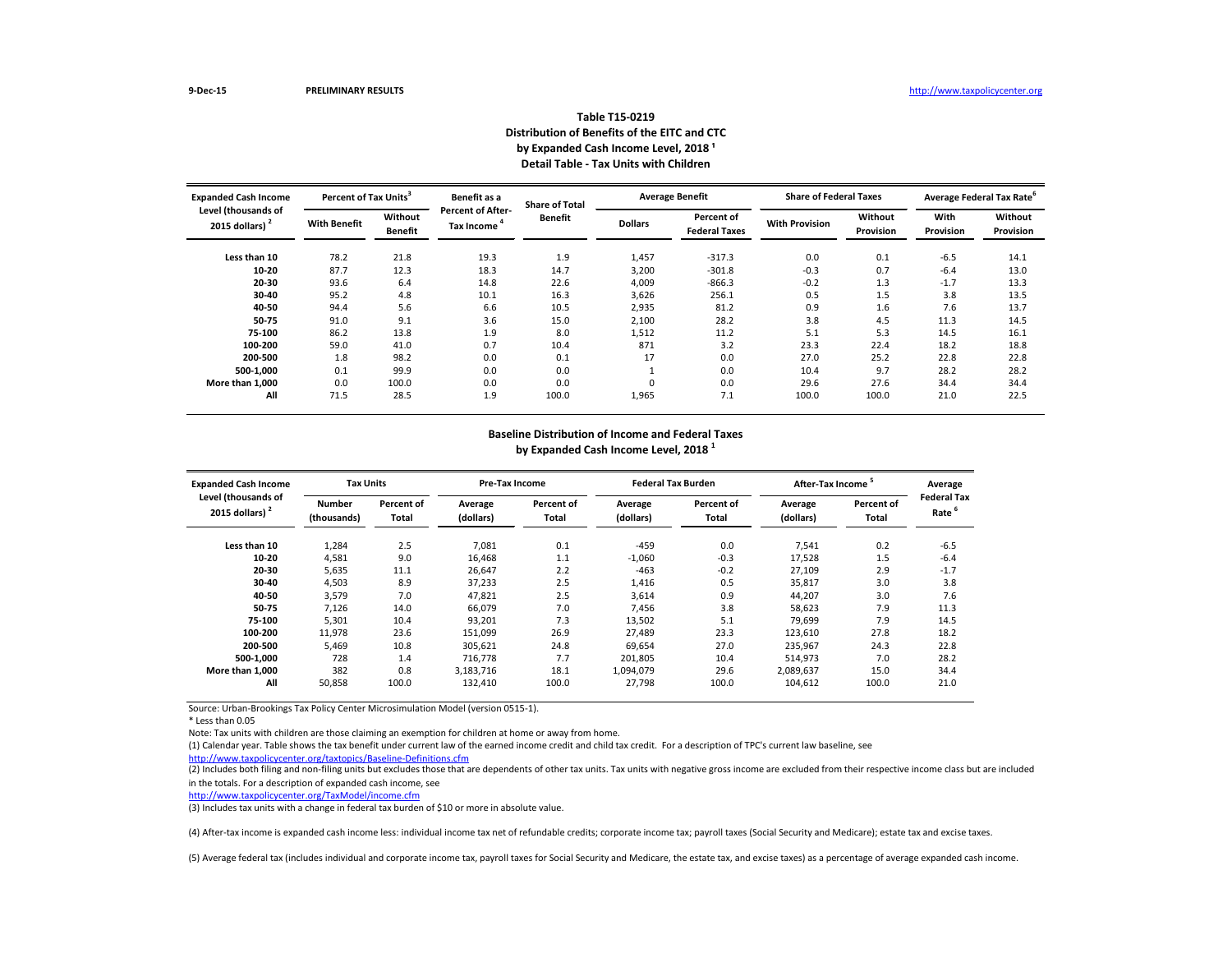| <b>Expanded Cash Income</b><br>Level (thousands of | Percent of Tax Units <sup>3</sup> |                           | Benefit as a                                  | <b>Share of Total</b> |                | <b>Average Benefit</b>             |                       | <b>Share of Federal Taxes</b> |                          | Average Federal Tax Rate <sup>6</sup> |  |
|----------------------------------------------------|-----------------------------------|---------------------------|-----------------------------------------------|-----------------------|----------------|------------------------------------|-----------------------|-------------------------------|--------------------------|---------------------------------------|--|
| 2015 dollars) $2$                                  | <b>With Benefit</b>               | Without<br><b>Benefit</b> | <b>Percent of After-</b><br><b>Tax Income</b> | <b>Benefit</b>        | <b>Dollars</b> | Percent of<br><b>Federal Taxes</b> | <b>With Provision</b> | Without<br>Provision          | With<br><b>Provision</b> | Without<br><b>Provision</b>           |  |
| Less than 10                                       | 78.2                              | 21.8                      | 19.3                                          | 1.9                   | 1,457          | $-317.3$                           | 0.0                   | 0.1                           | $-6.5$                   | 14.1                                  |  |
| $10 - 20$                                          | 87.7                              | 12.3                      | 18.3                                          | 14.7                  | 3,200          | $-301.8$                           | $-0.3$                | 0.7                           | $-6.4$                   | 13.0                                  |  |
| $20 - 30$                                          | 93.6                              | 6.4                       | 14.8                                          | 22.6                  | 4,009          | $-866.3$                           | $-0.2$                | 1.3                           | $-1.7$                   | 13.3                                  |  |
| $30 - 40$                                          | 95.2                              | 4.8                       | 10.1                                          | 16.3                  | 3,626          | 256.1                              | 0.5                   | 1.5                           | 3.8                      | 13.5                                  |  |
| 40-50                                              | 94.4                              | 5.6                       | 6.6                                           | 10.5                  | 2,935          | 81.2                               | 0.9                   | 1.6                           | 7.6                      | 13.7                                  |  |
| 50-75                                              | 91.0                              | 9.1                       | 3.6                                           | 15.0                  | 2,100          | 28.2                               | 3.8                   | 4.5                           | 11.3                     | 14.5                                  |  |
| 75-100                                             | 86.2                              | 13.8                      | 1.9                                           | 8.0                   | 1,512          | 11.2                               | 5.1                   | 5.3                           | 14.5                     | 16.1                                  |  |
| 100-200                                            | 59.0                              | 41.0                      | 0.7                                           | 10.4                  | 871            | 3.2                                | 23.3                  | 22.4                          | 18.2                     | 18.8                                  |  |
| 200-500                                            | 1.8                               | 98.2                      | 0.0                                           | 0.1                   | 17             | 0.0                                | 27.0                  | 25.2                          | 22.8                     | 22.8                                  |  |
| 500-1,000                                          | 0.1                               | 99.9                      | 0.0                                           | 0.0                   |                | 0.0                                | 10.4                  | 9.7                           | 28.2                     | 28.2                                  |  |
| More than 1,000                                    | 0.0                               | 100.0                     | 0.0                                           | 0.0                   | 0              | 0.0                                | 29.6                  | 27.6                          | 34.4                     | 34.4                                  |  |
| All                                                | 71.5                              | 28.5                      | 1.9                                           | 100.0                 | 1,965          | 7.1                                | 100.0                 | 100.0                         | 21.0                     | 22.5                                  |  |

(2) Includes both filing and non-filing units but excludes those that are dependents of other tax units. Tax units with negative gross income are excluded from their respective income class but are included in the totals. For a description of expanded cash income, see

\* Less than 0.05

Note: Tax units with children are those claiming an exemption for children at home or away from home.

| <b>Expanded Cash Income</b>              | <b>Tax Units</b>             |                            | <b>Pre-Tax Income</b> |                            |                      | <b>Federal Tax Burden</b> | After-Tax Income <sup>3</sup> |                                   | Average                                |
|------------------------------------------|------------------------------|----------------------------|-----------------------|----------------------------|----------------------|---------------------------|-------------------------------|-----------------------------------|----------------------------------------|
| Level (thousands of<br>2015 dollars) $2$ | <b>Number</b><br>(thousands) | Percent of<br><b>Total</b> | Average<br>(dollars)  | Percent of<br><b>Total</b> | Average<br>(dollars) | Percent of<br>Total       | Average<br>(dollars)          | <b>Percent of</b><br><b>Total</b> | <b>Federal Ta</b><br>Rate <sup>6</sup> |
| Less than 10                             | 1,284                        | 2.5                        | 7,081                 | 0.1                        | $-459$               | 0.0                       | 7,541                         | 0.2                               | $-6.5$                                 |
| $10 - 20$                                | 4,581                        | 9.0                        | 16,468                | 1.1                        | $-1,060$             | $-0.3$                    | 17,528                        | 1.5                               | $-6.4$                                 |
| $20 - 30$                                | 5,635                        | 11.1                       | 26,647                | 2.2                        | $-463$               | $-0.2$                    | 27,109                        | 2.9                               | $-1.7$                                 |
| 30-40                                    | 4,503                        | 8.9                        | 37,233                | 2.5                        | 1,416                | 0.5                       | 35,817                        | 3.0                               | 3.8                                    |
| 40-50                                    | 3,579                        | 7.0                        | 47,821                | 2.5                        | 3,614                | 0.9                       | 44,207                        | 3.0                               | 7.6                                    |
| 50-75                                    | 7,126                        | 14.0                       | 66,079                | 7.0                        | 7,456                | 3.8                       | 58,623                        | 7.9                               | 11.3                                   |
| 75-100                                   | 5,301                        | 10.4                       | 93,201                | 7.3                        | 13,502               | 5.1                       | 79,699                        | 7.9                               | 14.5                                   |
| 100-200                                  | 11,978                       | 23.6                       | 151,099               | 26.9                       | 27,489               | 23.3                      | 123,610                       | 27.8                              | 18.2                                   |
| 200-500                                  | 5,469                        | 10.8                       | 305,621               | 24.8                       | 69,654               | 27.0                      | 235,967                       | 24.3                              | 22.8                                   |
| 500-1,000                                | 728                          | 1.4                        | 716,778               | 7.7                        | 201,805              | 10.4                      | 514,973                       | 7.0                               | 28.2                                   |
| More than 1.000                          | 382                          | 0.8                        | 3,183,716             | 18.1                       | 1,094,079            | 29.6                      | 2,089,637                     | 15.0                              | 34.4                                   |
| All                                      | 50,858                       | 100.0                      | 132,410               | 100.0                      | 27,798               | 100.0                     | 104,612                       | 100.0                             | 21.0                                   |

<http://www.taxpolicycenter.org/taxtopics/Baseline-Definitions.cfm>

## **Table T15-0219 Distribution of Benefits of the EITC and CTC** by Expanded Cash Income Level, 2018<sup>1</sup> **Detail Table - Tax Units with Children**

#### **Baseline Distribution of Income and Federal Taxes by Expanded Cash Income Level, 2018 <sup>1</sup>**

| Average<br>Federal Tax<br>6<br>Rate                                                            |
|------------------------------------------------------------------------------------------------|
| -6.5<br>$-6.4$<br>$-1.7$<br>3.8<br>7.6<br>11.3<br>14.5<br>18.2<br>22.8<br>28.2<br>34.4<br>21.0 |
|                                                                                                |

(1) Calendar year. Table shows the tax benefit under current law of the earned income credit and child tax credit. For a description of TPC's current law baseline, see

<http://www.taxpolicycenter.org/TaxModel/income.cfm>

(3) Includes tax units with a change in federal tax burden of \$10 or more in absolute value.

(4) After-tax income is expanded cash income less: individual income tax net of refundable credits; corporate income tax; payroll taxes (Social Security and Medicare); estate tax and excise taxes.